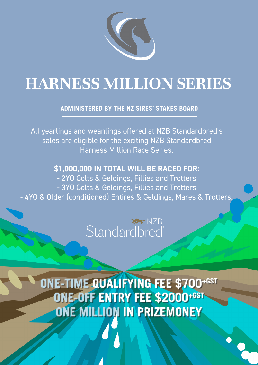

# **HARNESS MILLION SERIES**

## **ADMINISTERED BY THE NZ SIRES' STAKES BOARD**

All yearlings and weanlings offered at NZB Standardbred's sales are eligible for the exciting NZB Standardbred Harness Million Race Series.

## **\$1,000,000 IN TOTAL WILL BE RACED FOR:**

- 2YO Colts & Geldings, Fillies and Trotters - 3YO Colts & Geldings, Fillies and Trotters - 4YO & Older (conditioned) Entires & Geldings, Mares & Trotters.

## NZB **Standardbred**

**ONE-TIME QUALIFYING FEE \$700+GST ONE-OFF ENTRY FEE \$2000+GST ONE MILLION IN PRIZEMONEY**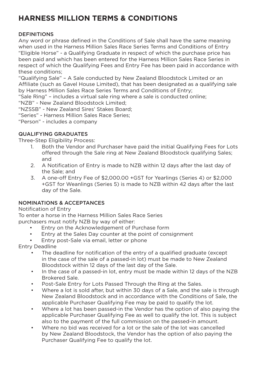## **HARNESS MILLION TERMS & CONDITIONS**

### **DEFINITIONS**

Any word or phrase defined in the Conditions of Sale shall have the same meaning when used in the Harness Million Sales Race Series Terms and Conditions of Entry "Eligible Horse" - a Qualifying Graduate in respect of which the purchase price has been paid and which has been entered for the Harness Million Sales Race Series in respect of which the Qualifying Fees and Entry Fee has been paid in accordance with these conditions;

"Qualifying Sale" – A Sale conducted by New Zealand Bloodstock Limited or an Affiliate (such as Gavel House Limited), that has been designated as a qualifying sale by Harness Million Sales Race Series Terms and Conditions of Entry;

"Sale Ring" – includes a virtual sale ring where a sale is conducted online;

"NZB" - New Zealand Bloodstock Limited;

"NZSSB" - New Zealand Sires' Stakes Board;

"Series" - Harness Million Sales Race Series;

"Person" - includes a company

#### QUALIFYING GRADUATES

Three-Step Eligibility Process:

- 1. Both the Vendor and Purchaser have paid the initial Qualifying Fees for Lots offered through the Sale ring at New Zealand Bloodstock qualifying Sales; and
- 2. A Notification of Entry is made to NZB within 12 days after the last day of the Sale; and
- 3. A one-off Entry Fee of \$2,000.00 +GST for Yearlings (Series 4) or \$2,000 +GST for Weanlings (Series 5) is made to NZB within 42 days after the last day of the Sale.

### NOMINATIONS & ACCEPTANCES

Notification of Entry

To enter a horse in the Harness Million Sales Race Series purchasers must notify NZB by way of either:

- Entry on the Acknowledgement of Purchase form
- Entry at the Sales Day counter at the point of consignment
- Entry post-Sale via email, letter or phone

Entry Deadline

- The deadline for notification of the entry of a qualified graduate (except in the case of the sale of a passed-in lot) must be made to New Zealand Bloodstock within 12 days of the last day of the Sale.
- In the case of a passed-in lot, entry must be made within 12 days of the NZB Brokered Sale.
- Post-Sale Entry for Lots Passed Through the Ring at the Sales.
- Where a lot is sold after, but within 30 days of a Sale, and the sale is through New Zealand Bloodstock and in accordance with the Conditions of Sale, the applicable Purchaser Qualifying Fee may be paid to qualify the lot.
- Where a lot has been passed-in the Vendor has the option of also paying the applicable Purchaser Qualifying Fee as well to qualify the lot. This is subject also to the payment of the full commission on the passed-in amount.
- Where no bid was received for a lot or the sale of the lot was cancelled by New Zealand Bloodstock, the Vendor has the option of also paying the Purchaser Qualifying Fee to qualify the lot.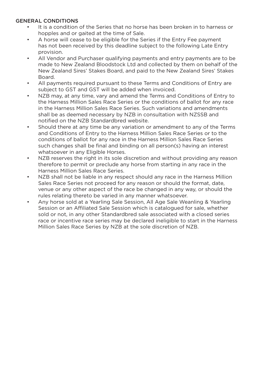#### GENERAL CONDITIONS

- It is a condition of the Series that no horse has been broken in to harness or hopples and or gaited at the time of Sale.
- A horse will cease to be eligible for the Series if the Entry Fee payment has not been received by this deadline subject to the following Late Entry provision.
- All Vendor and Purchaser qualifying payments and entry payments are to be made to New Zealand Bloodstock Ltd and collected by them on behalf of the New Zealand Sires' Stakes Board, and paid to the New Zealand Sires' Stakes Board.
- All payments required pursuant to these Terms and Conditions of Entry are subject to GST and GST will be added when invoiced.
- NZB may, at any time, vary and amend the Terms and Conditions of Entry to the Harness Million Sales Race Series or the conditions of ballot for any race in the Harness Million Sales Race Series. Such variations and amendments shall be as deemed necessary by NZB in consultation with NZSSB and notified on the NZB Standardbred website.
- Should there at any time be any variation or amendment to any of the Terms and Conditions of Entry to the Harness Million Sales Race Series or to the conditions of ballot for any race in the Harness Million Sales Race Series such changes shall be final and binding on all person(s) having an interest whatsoever in any Eligible Horses.
- NZB reserves the right in its sole discretion and without providing any reason therefore to permit or preclude any horse from starting in any race in the Harness Million Sales Race Series.
- NZB shall not be liable in any respect should any race in the Harness Million Sales Race Series not proceed for any reason or should the format, date, venue or any other aspect of the race be changed in any way, or should the rules relating thereto be varied in any manner whatsoever.
- Any horse sold at a Yearling Sale Session, All Age Sale Weanling & Yearling Session or an Affiliated Sale Session which is catalogued for sale, whether sold or not, in any other Standardbred sale associated with a closed series race or incentive race series may be declared ineligible to start in the Harness Million Sales Race Series by NZB at the sole discretion of NZB.